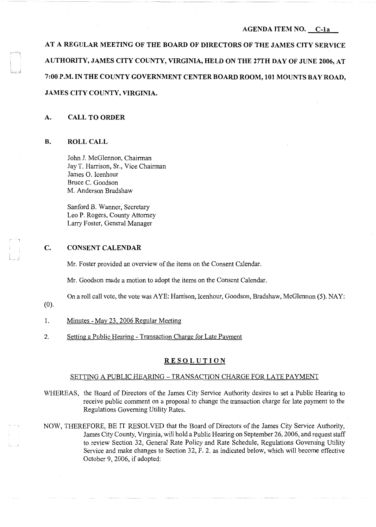### **AGENDA ITEM NO. C-la**

**AT A REGULAR MEETING OF THE BOARD OF DIRECTORS OF THE JAMES CITY SERVICE AUTHORITY, JAMES CITY COUNTY, VIRGINIA, HELD ON THE 27TH DAY OF JUNE 2006, AT 7:00 P.M. IN THE COUNTY GOVERNMENT CENTER BOARD ROOM, 101 MOUNTS BAY ROAD, JAMES CITY COUNTY, VIRGINIA.** 

#### **A. CALL TO ORDER**

#### **B. ROLL CALL**

J

c - '

 $\downarrow$  ,  $j$ 

John J. McGlennon, Chairman Jay T. Harrison, Sr., Vice Chairman James 0. Icenhour Bruce C. Goodson M. Anderson Bradshaw

Sanford B. Wanner, Secretary Leo P. Rogers, County Attorney Larry Foster, General Manager

### **C. CONSENT CALENDAR**

Mr. Foster provided an overview of the items on the Consent Calendar.

Mr. Goodson made a motion to adopt the items on the Consent Calendar.

On a roll call vote, the vote was A YE: Harrison, Icenhour, Goodson, Bradshaw, McGlennon (5). NAY:

(0).

- 1. Minutes May 23, 2006 Regular Meeting
- 2. Setting a Public Hearing Transaction Charge for Late Payment

# **RESOLUTION**

## SETTING A PUBLIC HEARING - TRANSACTION CHARGE FOR LATE PAYMENT

- WHEREAS, the Board of Directors of the James City Service Authority desires to set a Public Hearing to receive public comment on a proposal to change the transaction charge for late payment to the Regulations Governing Utility Rates.
- NOW, THEREFORE, BE IT RESOLVED that the Board of Directors of the James City Service Authority, James City County, Virginia, will hold a Public Hearing on September 26, 2006, and request staff to review Section 32, General Rate Policy and Rate Schedule, Regulations Governing Utility Service and make changes to Section 32, F. 2. as indicated below, which will become effective October 9, 2006, if adopted: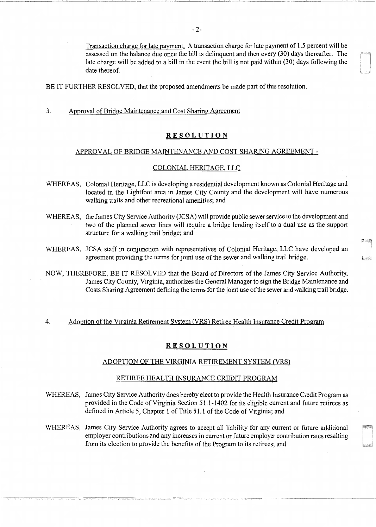Transaction charge for late payment. A transaction charge for late payment of 1.5 percent will be assessed on the balance due once the bill is delinquent and then every (30) days thereafter. The late charge will be added to a bill in the event the bill is not paid within (30) days following the date thereof.

 $L = 1.3$ 

BE IT FURTHER RESOLVED, that the proposed amendments be made part of this resolution.

3. Approval of Bridge Maintenance and Cost Sharing Agreement

## **RESOLUTION**

## APPROVAL OF BRIDGE MAINTENANCE AND COST SHARING AGREEMENT -

## COLONIAL HERITAGE, LLC

- WHEREAS, Colonial Heritage, LLC is developing a residential development known as Colonial Heritage and located in the Lightfoot area in James City County and the development will have numerous walking trails and other recreational amenities; and
- WHEREAS, the James City Service Authority (JCSA) will provide public sewer service to the development and two of the planned sewer lines will require a bridge lending itself to a dual use as the support structure for a walking trail bridge; and
- WHEREAS, JCSA staff in conjunction with representatives of Colonial Heritage, LLC have developed an agreement providing the terms for joint use of the sewer and walking trail bridge.
- NOW, THEREFORE, BE IT RESOLVED that the Board of Directors of the James City Service Authority, James City County, Virginia, authorizes the General Manager to sign the Bridge Maintenance and Costs Sharing Agreement defining the terms for the joint use of the sewer and walking trail bridge.

### 4. Adoption of the Virginia Retirement System (VRS) Retiree Health Insurance Credit Program

### **RESOLUTION**

#### ADOPTION OF THE VIRGINIA RETIREMENT SYSTEM (VRS)

### RETIREE HEALTH INSURANCE CREDIT PROGRAM

- WHEREAS, James City Service Authority does hereby elect to provide the Health Insurance Credit Program as provided in the Code of Virginia Section 51.1-1402 for its eligible current and future retirees as defined in Article 5, Chapter 1 of Title 51.1 of the Code of Virginia; and
- WHEREAS, James City Service Authority agrees to accept all liability for any current or future additional employer contributions and any increases in current or future employer contribution rates resulting from its election to provide the benefits of the Program to its retirees; and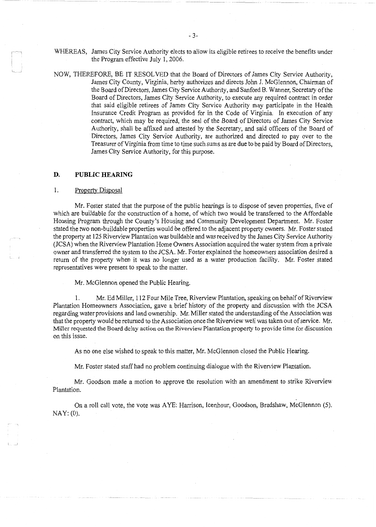WHEREAS, James City Service Authority elects to allow its eligible retirees to receive the benefits under the Program effective July 1, 2006.

NOW, THEREFORE, BE IT RESOLVED that the Board of Directors of James City Service Authority, James City County, Virginia, herby authorizes and directs John J. McGlennon, Chairman of the Board of Directors, James City Service Authority, and Sanford B. Wanner, Secretary of the Board of Directors, James City Service Authority, to execute any required contract in order that said eligible retirees of James City Service Authority may participate in the Health Insurance Credit Program as provided for in the Code of Virginia. In execution of any contract, which may be required, the seal of the Board of Directors of James City Service Authority, shall be affixed and attested by the Secretary, and said officers of the Board of Directors, James City Service Authority, are authorized and directed to pay over to the Treasurer of Virginia from time to time such sums as are due to be paid by Board of Directors, James City Service Authority, for this purpose.

#### **D. PUBLIC HEARING**

#### 1. Property Disposal

Mr. Foster stated that the purpose of the public hearings is to dispose of seven properties, five of which are buildable for the construction of a home, of which two would be transferred to the Affordable Housing Program through the County's Housing and Community Development Department. Mr. Foster stated the two non-buildable properties would be offered to the adjacent property owners. Mr. Foster stated the property at 125 Riverview Plantation was buildable and was received by the James City Service Authority (JCSA) when the Riverview Plantation Home Owners Association acquired the water system from a private owner and transferred the system to the JCSA. Mr. Foster explained the homeowners association desired a return of the property when it was no longer used as a water production facility. Mr. Foster stated representatives were present to speak to the matter.

Mr. McGlennon opened the Public Hearing.

1. Mr. Ed Miller, 112 Four Mile Tree, Riverview Plantation, speaking on behalf of Riverview Plantation Homeowners Association, gave a brief history of the property and discussion with the JCSA regarding water provisions and land ownership. Mr. Miller stated the understanding of the Association was that the property would be returned to the Association once the Riverview well was taken out of service. Mr. Miller requested the Board delay action on the Riverview Plantation property to provide time for discussion on this issue.

As no one else wished to speak to this matter, Mr. McGlennon closed the Public Hearing.

Mr. Foster stated staff had no problem continuing dialogue with the Riverview Plantation.

Mr. Goodson made a motion to approve the resolution with an amendment to strike Riverview Plantation.

On a roll call vote, the vote was A YE: Harrison, Icenhour, Goodson, Bradshaw, McGlennon (5). NAY: (0).